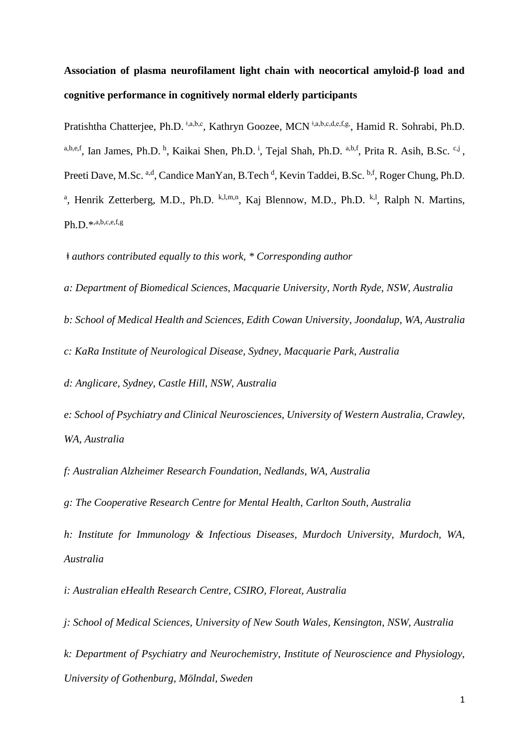# **Association of plasma neurofilament light chain with neocortical amyloid-β load and cognitive performance in cognitively normal elderly participants**

Pratishtha Chatterjee, Ph.D. <sup>‡,a,b,c</sup>, Kathryn Goozee, MCN<sup>‡,a,b,c,d,e,f,g,</sup>, Hamid R. Sohrabi, Ph.D. a,b,e,f, Ian James, Ph.D.<sup>h</sup>, Kaikai Shen, Ph.D.<sup>i</sup>, Tejal Shah, Ph.D.<sup>a,b,f</sup>, Prita R. Asih, B.Sc.<sup>c,j</sup>, Preeti Dave, M.Sc. a,d, Candice ManYan, B.Tech <sup>d</sup>, Kevin Taddei, B.Sc. b,f, Roger Chung, Ph.D. <sup>a</sup>, Henrik Zetterberg, M.D., Ph.D. <sup>k,l,m,n</sup>, Kaj Blennow, M.D., Ph.D. <sup>k,l</sup>, Ralph N. Martins, Ph.D.\*,a,b,c,e,f,g

*ǂ authors contributed equally to this work, \* Corresponding author*

*a: Department of Biomedical Sciences, Macquarie University, North Ryde, NSW, Australia* 

*b: School of Medical Health and Sciences, Edith Cowan University, Joondalup, WA, Australia*

*c: KaRa Institute of Neurological Disease, Sydney, Macquarie Park, Australia* 

*d: Anglicare, Sydney, Castle Hill, NSW, Australia* 

*e: School of Psychiatry and Clinical Neurosciences, University of Western Australia, Crawley, WA, Australia*

*f: Australian Alzheimer Research Foundation, Nedlands, WA, Australia*

*g: The Cooperative Research Centre for Mental Health, Carlton South, Australia*

*h: Institute for Immunology & Infectious Diseases, Murdoch University, Murdoch, WA, Australia*

*i: Australian eHealth Research Centre, CSIRO, Floreat, Australia*

*j: School of Medical Sciences, University of New South Wales, Kensington, NSW, Australia*

*k: Department of Psychiatry and Neurochemistry, Institute of Neuroscience and Physiology, University of Gothenburg, Mölndal, Sweden*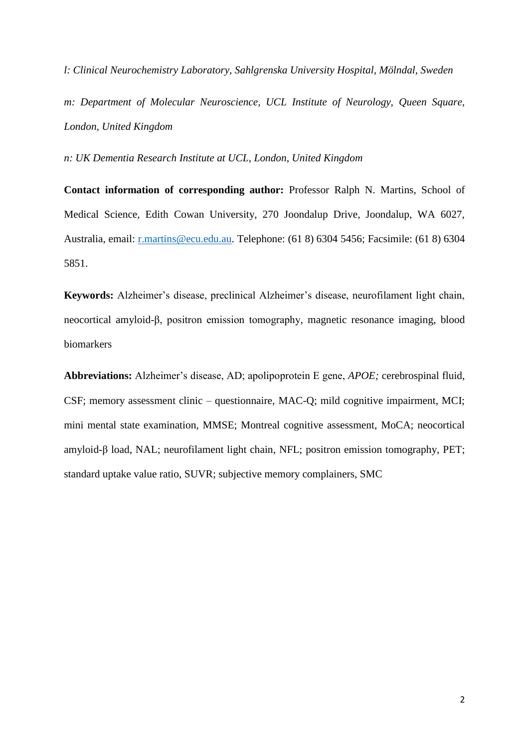*l: Clinical Neurochemistry Laboratory, Sahlgrenska University Hospital, Mölndal, Sweden m: Department of Molecular Neuroscience, UCL Institute of Neurology, Queen Square, London, United Kingdom*

*n: UK Dementia Research Institute at UCL, London, United Kingdom*

**Contact information of corresponding author:** Professor Ralph N. Martins, School of Medical Science, Edith Cowan University, 270 Joondalup Drive, Joondalup, WA 6027, Australia, email: [r.martins@ecu.edu.au.](mailto:r.martins@ecu.edu.au) Telephone: (61 8) 6304 5456; Facsimile: (61 8) 6304 5851.

**Keywords:** Alzheimer's disease, preclinical Alzheimer's disease, neurofilament light chain, neocortical amyloid-β, positron emission tomography, magnetic resonance imaging, blood biomarkers

**Abbreviations:** Alzheimer's disease, AD; apolipoprotein E gene, *APOE;* cerebrospinal fluid, CSF; memory assessment clinic – questionnaire, MAC-Q; mild cognitive impairment, MCI; mini mental state examination, MMSE; Montreal cognitive assessment, MoCA; neocortical amyloid-β load, NAL; neurofilament light chain, NFL; positron emission tomography, PET; standard uptake value ratio, SUVR; subjective memory complainers, SMC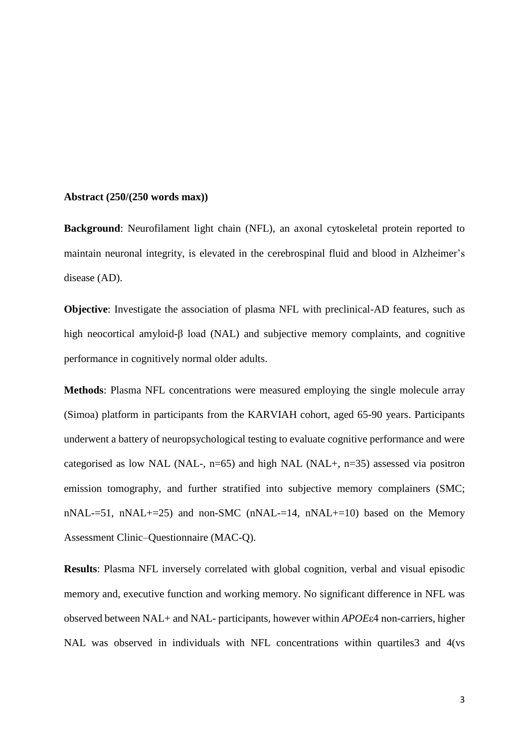#### **Abstract (250/(250 words max))**

**Background**: Neurofilament light chain (NFL), an axonal cytoskeletal protein reported to maintain neuronal integrity, is elevated in the cerebrospinal fluid and blood in Alzheimer's disease (AD).

**Objective**: Investigate the association of plasma NFL with preclinical-AD features, such as high neocortical amyloid-β load (NAL) and subjective memory complaints, and cognitive performance in cognitively normal older adults.

**Methods**: Plasma NFL concentrations were measured employing the single molecule array (Simoa) platform in participants from the KARVIAH cohort, aged 65-90 years. Participants underwent a battery of neuropsychological testing to evaluate cognitive performance and were categorised as low NAL (NAL-,  $n=65$ ) and high NAL (NAL+,  $n=35$ ) assessed via positron emission tomography, and further stratified into subjective memory complainers (SMC; nNAL-=51, nNAL+=25) and non-SMC (nNAL-=14, nNAL+=10) based on the Memory Assessment Clinic–Questionnaire (MAC-Q).

**Results**: Plasma NFL inversely correlated with global cognition, verbal and visual episodic memory and, executive function and working memory. No significant difference in NFL was observed between NAL+ and NAL- participants, however within *APOE*ε4 non-carriers, higher NAL was observed in individuals with NFL concentrations within quartiles3 and 4(vs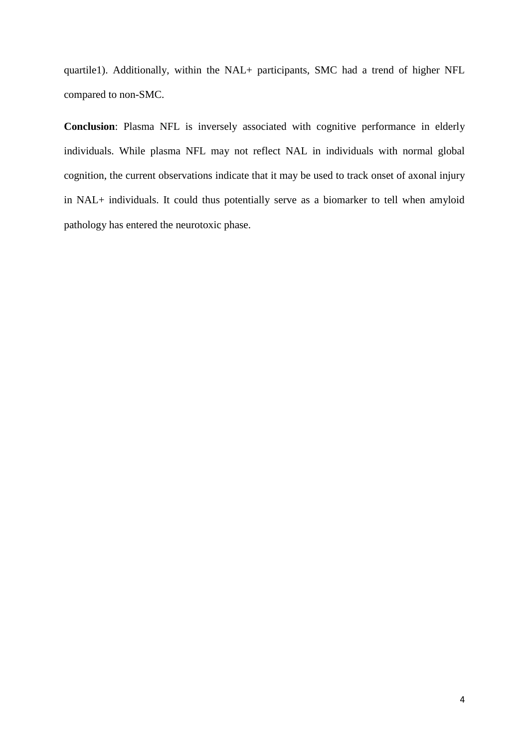quartile1). Additionally, within the NAL+ participants, SMC had a trend of higher NFL compared to non-SMC.

**Conclusion**: Plasma NFL is inversely associated with cognitive performance in elderly individuals. While plasma NFL may not reflect NAL in individuals with normal global cognition, the current observations indicate that it may be used to track onset of axonal injury in NAL+ individuals. It could thus potentially serve as a biomarker to tell when amyloid pathology has entered the neurotoxic phase.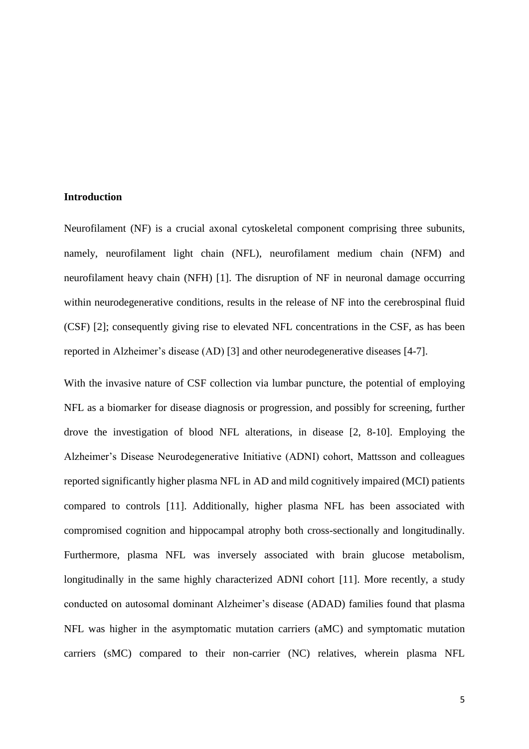## **Introduction**

Neurofilament (NF) is a crucial axonal cytoskeletal component comprising three subunits, namely, neurofilament light chain (NFL), neurofilament medium chain (NFM) and neurofilament heavy chain (NFH) [1]. The disruption of NF in neuronal damage occurring within neurodegenerative conditions, results in the release of NF into the cerebrospinal fluid (CSF) [2]; consequently giving rise to elevated NFL concentrations in the CSF, as has been reported in Alzheimer's disease (AD) [3] and other neurodegenerative diseases [4-7].

With the invasive nature of CSF collection via lumbar puncture, the potential of employing NFL as a biomarker for disease diagnosis or progression, and possibly for screening, further drove the investigation of blood NFL alterations, in disease [2, 8-10]. Employing the Alzheimer's Disease Neurodegenerative Initiative (ADNI) cohort, Mattsson and colleagues reported significantly higher plasma NFL in AD and mild cognitively impaired (MCI) patients compared to controls [11]. Additionally, higher plasma NFL has been associated with compromised cognition and hippocampal atrophy both cross-sectionally and longitudinally. Furthermore, plasma NFL was inversely associated with brain glucose metabolism, longitudinally in the same highly characterized ADNI cohort [11]. More recently, a study conducted on autosomal dominant Alzheimer's disease (ADAD) families found that plasma NFL was higher in the asymptomatic mutation carriers (aMC) and symptomatic mutation carriers (sMC) compared to their non-carrier (NC) relatives, wherein plasma NFL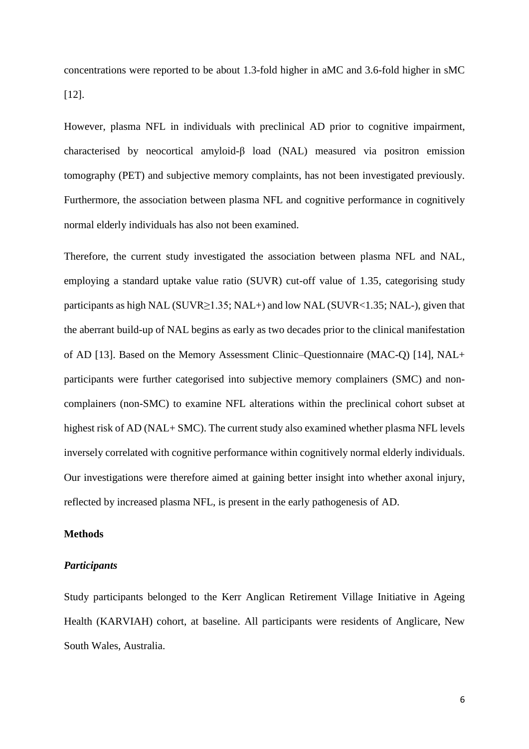concentrations were reported to be about 1.3-fold higher in aMC and 3.6-fold higher in sMC [12].

However, plasma NFL in individuals with preclinical AD prior to cognitive impairment, characterised by neocortical amyloid-β load (NAL) measured via positron emission tomography (PET) and subjective memory complaints, has not been investigated previously. Furthermore, the association between plasma NFL and cognitive performance in cognitively normal elderly individuals has also not been examined.

Therefore, the current study investigated the association between plasma NFL and NAL, employing a standard uptake value ratio (SUVR) cut-off value of 1.35, categorising study participants as high NAL (SUVR≥1.35; NAL+) and low NAL (SUVR<1.35; NAL-), given that the aberrant build-up of NAL begins as early as two decades prior to the clinical manifestation of AD [13]. Based on the Memory Assessment Clinic–Questionnaire (MAC-Q) [14], NAL+ participants were further categorised into subjective memory complainers (SMC) and noncomplainers (non-SMC) to examine NFL alterations within the preclinical cohort subset at highest risk of AD (NAL+ SMC). The current study also examined whether plasma NFL levels inversely correlated with cognitive performance within cognitively normal elderly individuals. Our investigations were therefore aimed at gaining better insight into whether axonal injury, reflected by increased plasma NFL, is present in the early pathogenesis of AD.

## **Methods**

## *Participants*

Study participants belonged to the Kerr Anglican Retirement Village Initiative in Ageing Health (KARVIAH) cohort, at baseline. All participants were residents of Anglicare, New South Wales, Australia.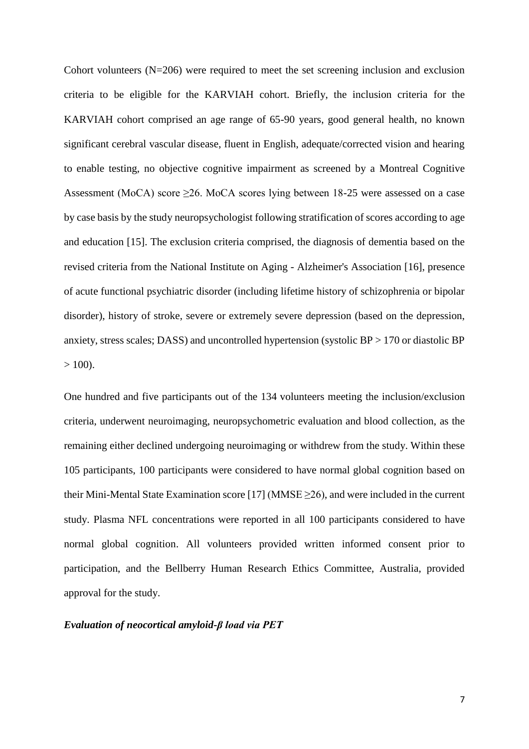Cohort volunteers (N=206) were required to meet the set screening inclusion and exclusion criteria to be eligible for the KARVIAH cohort. Briefly, the inclusion criteria for the KARVIAH cohort comprised an age range of 65-90 years, good general health, no known significant cerebral vascular disease, fluent in English, adequate/corrected vision and hearing to enable testing, no objective cognitive impairment as screened by a Montreal Cognitive Assessment (MoCA) score  $\geq$ 26. MoCA scores lying between 18-25 were assessed on a case by case basis by the study neuropsychologist following stratification of scores according to age and education [15]. The exclusion criteria comprised, the diagnosis of dementia based on the revised criteria from the National Institute on Aging - Alzheimer's Association [16], presence of acute functional psychiatric disorder (including lifetime history of schizophrenia or bipolar disorder), history of stroke, severe or extremely severe depression (based on the depression, anxiety, stress scales; DASS) and uncontrolled hypertension (systolic BP > 170 or diastolic BP  $> 100$ ).

One hundred and five participants out of the 134 volunteers meeting the inclusion/exclusion criteria, underwent neuroimaging, neuropsychometric evaluation and blood collection, as the remaining either declined undergoing neuroimaging or withdrew from the study. Within these 105 participants, 100 participants were considered to have normal global cognition based on their Mini-Mental State Examination score [17] (MMSE  $\geq$ 26), and were included in the current study. Plasma NFL concentrations were reported in all 100 participants considered to have normal global cognition. All volunteers provided written informed consent prior to participation, and the Bellberry Human Research Ethics Committee, Australia, provided approval for the study.

## *Evaluation of neocortical amyloid-β load via PET*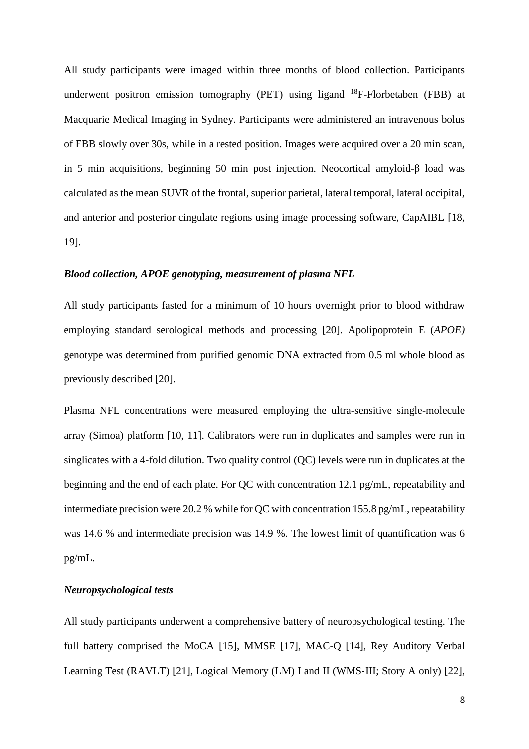All study participants were imaged within three months of blood collection. Participants underwent positron emission tomography (PET) using ligand  $^{18}$ F-Florbetaben (FBB) at Macquarie Medical Imaging in Sydney. Participants were administered an intravenous bolus of FBB slowly over 30s, while in a rested position. Images were acquired over a 20 min scan, in 5 min acquisitions, beginning 50 min post injection. Neocortical amyloid-β load was calculated as the mean SUVR of the frontal, superior parietal, lateral temporal, lateral occipital, and anterior and posterior cingulate regions using image processing software, CapAIBL [18, 19].

## *Blood collection, APOE genotyping, measurement of plasma NFL*

All study participants fasted for a minimum of 10 hours overnight prior to blood withdraw employing standard serological methods and processing [20]. Apolipoprotein E (*APOE)* genotype was determined from purified genomic DNA extracted from 0.5 ml whole blood as previously described [20].

Plasma NFL concentrations were measured employing the ultra-sensitive single-molecule array (Simoa) platform [10, 11]. Calibrators were run in duplicates and samples were run in singlicates with a 4-fold dilution. Two quality control (QC) levels were run in duplicates at the beginning and the end of each plate. For QC with concentration 12.1 pg/mL, repeatability and intermediate precision were 20.2 % while for QC with concentration 155.8 pg/mL, repeatability was 14.6 % and intermediate precision was 14.9 %. The lowest limit of quantification was 6 pg/mL.

## *Neuropsychological tests*

All study participants underwent a comprehensive battery of neuropsychological testing. The full battery comprised the MoCA [15], MMSE [17], MAC-Q [14], Rey Auditory Verbal Learning Test (RAVLT) [21], Logical Memory (LM) I and II (WMS‐III; Story A only) [22],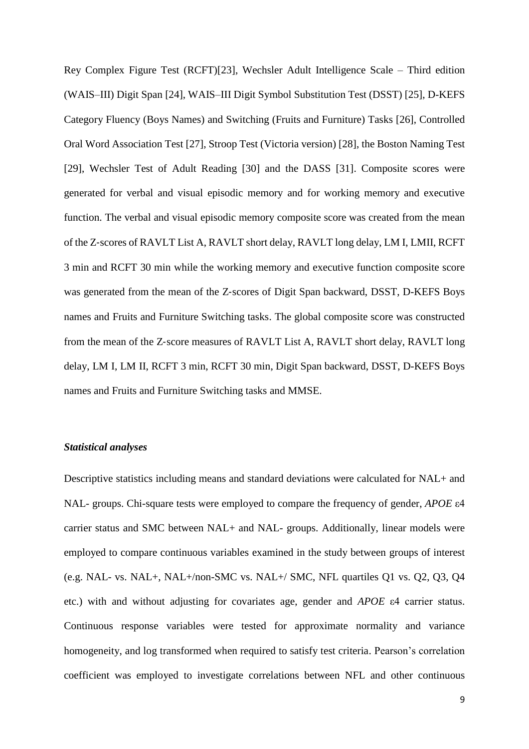Rey Complex Figure Test (RCFT)[23], Wechsler Adult Intelligence Scale – Third edition (WAIS–III) Digit Span [24], WAIS–III Digit Symbol Substitution Test (DSST) [25], D-KEFS Category Fluency (Boys Names) and Switching (Fruits and Furniture) Tasks [26], Controlled Oral Word Association Test [27], Stroop Test (Victoria version) [28], the Boston Naming Test [29], Wechsler Test of Adult Reading [30] and the DASS [31]. Composite scores were generated for verbal and visual episodic memory and for working memory and executive function. The verbal and visual episodic memory composite score was created from the mean of the Z‐scores of RAVLT List A, RAVLT short delay, RAVLT long delay, LM I, LMII, RCFT 3 min and RCFT 30 min while the working memory and executive function composite score was generated from the mean of the Z-scores of Digit Span backward, DSST, D-KEFS Boys names and Fruits and Furniture Switching tasks. The global composite score was constructed from the mean of the Z‐score measures of RAVLT List A, RAVLT short delay, RAVLT long delay, LM I, LM II, RCFT 3 min, RCFT 30 min, Digit Span backward, DSST, D-KEFS Boys names and Fruits and Furniture Switching tasks and MMSE.

## *Statistical analyses*

Descriptive statistics including means and standard deviations were calculated for NAL+ and NAL- groups. Chi-square tests were employed to compare the frequency of gender, *APOE* ε4 carrier status and SMC between NAL+ and NAL- groups. Additionally, linear models were employed to compare continuous variables examined in the study between groups of interest (e.g. NAL- vs. NAL+, NAL+/non-SMC vs. NAL+/ SMC, NFL quartiles Q1 vs. Q2, Q3, Q4 etc.) with and without adjusting for covariates age, gender and *APOE* ε4 carrier status. Continuous response variables were tested for approximate normality and variance homogeneity, and log transformed when required to satisfy test criteria. Pearson's correlation coefficient was employed to investigate correlations between NFL and other continuous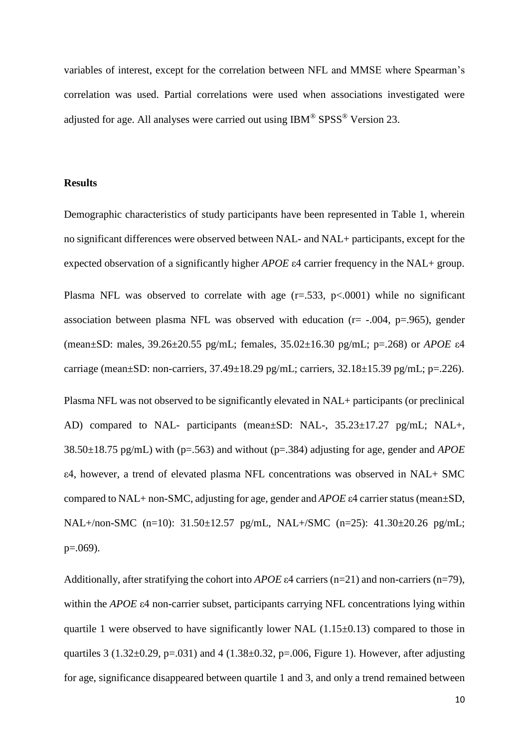variables of interest, except for the correlation between NFL and MMSE where Spearman's correlation was used. Partial correlations were used when associations investigated were adjusted for age. All analyses were carried out using IBM® SPSS® Version 23.

## **Results**

Demographic characteristics of study participants have been represented in Table 1, wherein no significant differences were observed between NAL- and NAL+ participants, except for the expected observation of a significantly higher *APOE* ε4 carrier frequency in the NAL+ group.

Plasma NFL was observed to correlate with age  $(r=.533, p<.0001)$  while no significant association between plasma NFL was observed with education (r= -.004, p=.965), gender (mean±SD: males, 39.26±20.55 pg/mL; females, 35.02±16.30 pg/mL; p=.268) or *APOE* ε4 carriage (mean $\pm$ SD: non-carriers, 37.49 $\pm$ 18.29 pg/mL; carriers, 32.18 $\pm$ 15.39 pg/mL; p=.226).

Plasma NFL was not observed to be significantly elevated in NAL+ participants (or preclinical AD) compared to NAL- participants (mean±SD: NAL-, 35.23±17.27 pg/mL; NAL+, 38.50±18.75 pg/mL) with (p=.563) and without (p=.384) adjusting for age, gender and *APOE*  ε4, however, a trend of elevated plasma NFL concentrations was observed in NAL+ SMC compared to NAL+ non-SMC, adjusting for age, gender and *APOE* ε4 carrier status (mean±SD, NAL+/non-SMC (n=10): 31.50±12.57 pg/mL, NAL+/SMC (n=25): 41.30±20.26 pg/mL; p=.069).

Additionally, after stratifying the cohort into *APOE* ε4 carriers (n=21) and non-carriers (n=79), within the *APOE* ε4 non-carrier subset, participants carrying NFL concentrations lying within quartile 1 were observed to have significantly lower NAL  $(1.15\pm0.13)$  compared to those in quartiles 3 (1.32 $\pm$ 0.29, p=.031) and 4 (1.38 $\pm$ 0.32, p=.006, Figure 1). However, after adjusting for age, significance disappeared between quartile 1 and 3, and only a trend remained between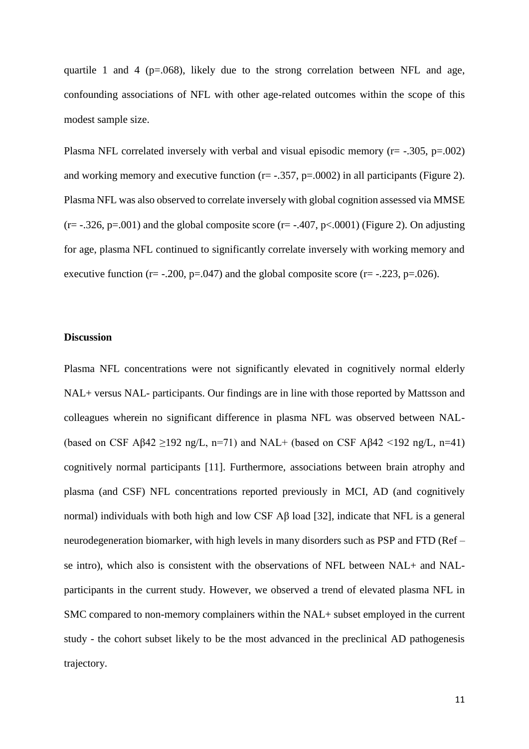quartile 1 and 4 ( $p=0.068$ ), likely due to the strong correlation between NFL and age, confounding associations of NFL with other age-related outcomes within the scope of this modest sample size.

Plasma NFL correlated inversely with verbal and visual episodic memory ( $r = -0.305$ ,  $p = 0.002$ ) and working memory and executive function ( $r = -0.357$ ,  $p = 0.0002$ ) in all participants (Figure 2). Plasma NFL was also observed to correlate inversely with global cognition assessed via MMSE  $(r=-.326, p=.001)$  and the global composite score  $(r=-.407, p<.0001)$  (Figure 2). On adjusting for age, plasma NFL continued to significantly correlate inversely with working memory and executive function ( $r = -.200$ ,  $p = .047$ ) and the global composite score ( $r = -.223$ ,  $p = .026$ ).

## **Discussion**

Plasma NFL concentrations were not significantly elevated in cognitively normal elderly NAL+ versus NAL- participants. Our findings are in line with those reported by Mattsson and colleagues wherein no significant difference in plasma NFL was observed between NAL- (based on CSF A $\beta$ 42  $\geq$ 192 ng/L, n=71) and NAL+ (based on CSF A $\beta$ 42 <192 ng/L, n=41) cognitively normal participants [11]. Furthermore, associations between brain atrophy and plasma (and CSF) NFL concentrations reported previously in MCI, AD (and cognitively normal) individuals with both high and low CSF Aβ load [32], indicate that NFL is a general neurodegeneration biomarker, with high levels in many disorders such as PSP and FTD (Ref – se intro), which also is consistent with the observations of NFL between NAL+ and NALparticipants in the current study. However, we observed a trend of elevated plasma NFL in SMC compared to non-memory complainers within the NAL+ subset employed in the current study - the cohort subset likely to be the most advanced in the preclinical AD pathogenesis trajectory.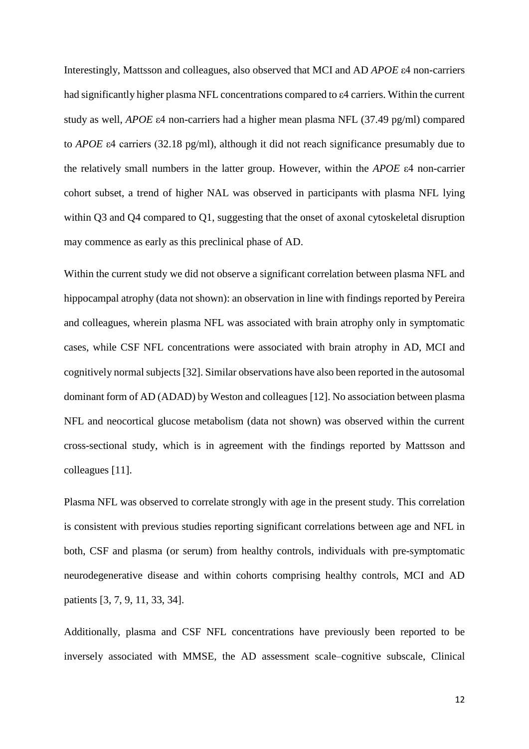Interestingly, Mattsson and colleagues, also observed that MCI and AD *APOE* ε4 non-carriers had significantly higher plasma NFL concentrations compared to ε4 carriers. Within the current study as well, *APOE* ε4 non-carriers had a higher mean plasma NFL (37.49 pg/ml) compared to *APOE* ε4 carriers (32.18 pg/ml), although it did not reach significance presumably due to the relatively small numbers in the latter group. However, within the *APOE* ε4 non-carrier cohort subset, a trend of higher NAL was observed in participants with plasma NFL lying within Q3 and Q4 compared to Q1, suggesting that the onset of axonal cytoskeletal disruption may commence as early as this preclinical phase of AD.

Within the current study we did not observe a significant correlation between plasma NFL and hippocampal atrophy (data not shown): an observation in line with findings reported by Pereira and colleagues, wherein plasma NFL was associated with brain atrophy only in symptomatic cases, while CSF NFL concentrations were associated with brain atrophy in AD, MCI and cognitively normal subjects[32]. Similar observations have also been reported in the autosomal dominant form of AD (ADAD) by Weston and colleagues [12]. No association between plasma NFL and neocortical glucose metabolism (data not shown) was observed within the current cross-sectional study, which is in agreement with the findings reported by Mattsson and colleagues [11].

Plasma NFL was observed to correlate strongly with age in the present study. This correlation is consistent with previous studies reporting significant correlations between age and NFL in both, CSF and plasma (or serum) from healthy controls, individuals with pre-symptomatic neurodegenerative disease and within cohorts comprising healthy controls, MCI and AD patients [3, 7, 9, 11, 33, 34].

Additionally, plasma and CSF NFL concentrations have previously been reported to be inversely associated with MMSE, the AD assessment scale–cognitive subscale, Clinical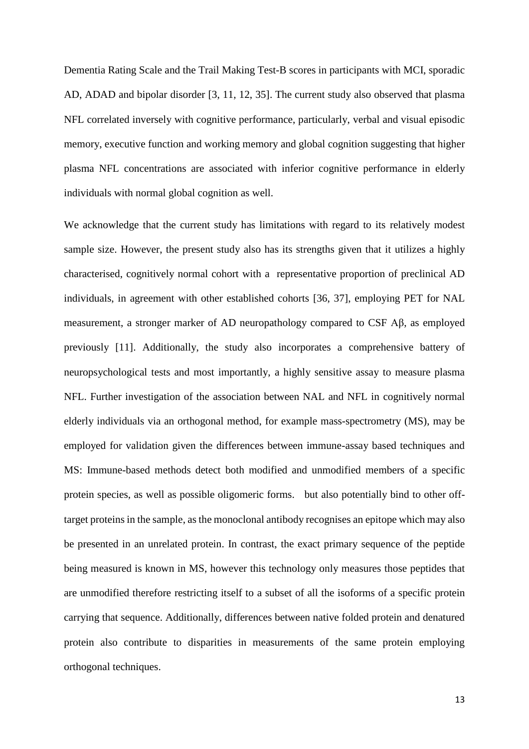Dementia Rating Scale and the Trail Making Test-B scores in participants with MCI, sporadic AD, ADAD and bipolar disorder [3, 11, 12, 35]. The current study also observed that plasma NFL correlated inversely with cognitive performance, particularly, verbal and visual episodic memory, executive function and working memory and global cognition suggesting that higher plasma NFL concentrations are associated with inferior cognitive performance in elderly individuals with normal global cognition as well.

We acknowledge that the current study has limitations with regard to its relatively modest sample size. However, the present study also has its strengths given that it utilizes a highly characterised, cognitively normal cohort with a representative proportion of preclinical AD individuals, in agreement with other established cohorts [36, 37], employing PET for NAL measurement, a stronger marker of AD neuropathology compared to CSF Aβ, as employed previously [11]. Additionally, the study also incorporates a comprehensive battery of neuropsychological tests and most importantly, a highly sensitive assay to measure plasma NFL. Further investigation of the association between NAL and NFL in cognitively normal elderly individuals via an orthogonal method, for example mass-spectrometry (MS), may be employed for validation given the differences between immune-assay based techniques and MS: Immune-based methods detect both modified and unmodified members of a specific protein species, as well as possible oligomeric forms. but also potentially bind to other offtarget proteins in the sample, as the monoclonal antibody recognises an epitope which may also be presented in an unrelated protein. In contrast, the exact primary sequence of the peptide being measured is known in MS, however this technology only measures those peptides that are unmodified therefore restricting itself to a subset of all the isoforms of a specific protein carrying that sequence. Additionally, differences between native folded protein and denatured protein also contribute to disparities in measurements of the same protein employing orthogonal techniques.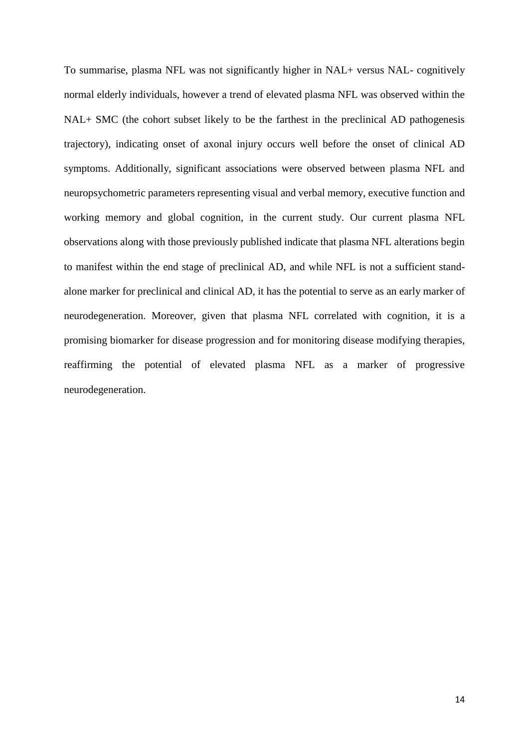To summarise, plasma NFL was not significantly higher in NAL+ versus NAL- cognitively normal elderly individuals, however a trend of elevated plasma NFL was observed within the NAL+ SMC (the cohort subset likely to be the farthest in the preclinical AD pathogenesis trajectory), indicating onset of axonal injury occurs well before the onset of clinical AD symptoms. Additionally, significant associations were observed between plasma NFL and neuropsychometric parameters representing visual and verbal memory, executive function and working memory and global cognition, in the current study. Our current plasma NFL observations along with those previously published indicate that plasma NFL alterations begin to manifest within the end stage of preclinical AD, and while NFL is not a sufficient standalone marker for preclinical and clinical AD, it has the potential to serve as an early marker of neurodegeneration. Moreover, given that plasma NFL correlated with cognition, it is a promising biomarker for disease progression and for monitoring disease modifying therapies, reaffirming the potential of elevated plasma NFL as a marker of progressive neurodegeneration.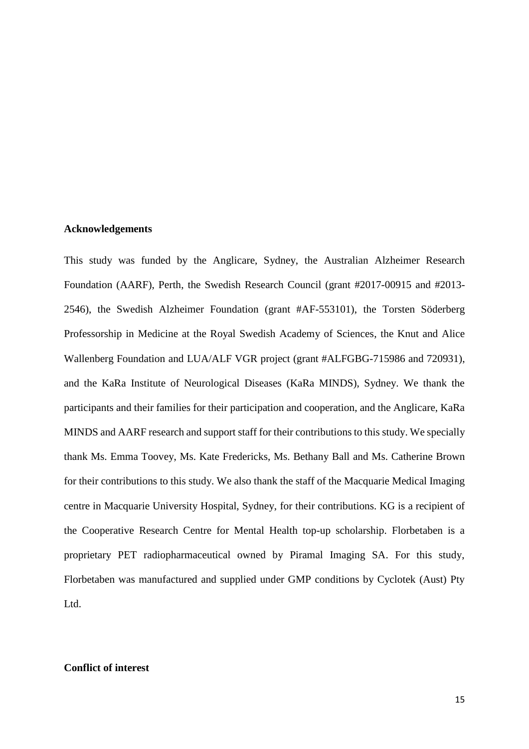## **Acknowledgements**

This study was funded by the Anglicare, Sydney, the Australian Alzheimer Research Foundation (AARF), Perth, the Swedish Research Council (grant #2017-00915 and #2013- 2546), the Swedish Alzheimer Foundation (grant #AF-553101), the Torsten Söderberg Professorship in Medicine at the Royal Swedish Academy of Sciences, the Knut and Alice Wallenberg Foundation and LUA/ALF VGR project (grant #ALFGBG-715986 and 720931), and the KaRa Institute of Neurological Diseases (KaRa MINDS), Sydney. We thank the participants and their families for their participation and cooperation, and the Anglicare, KaRa MINDS and AARF research and support staff for their contributions to this study. We specially thank Ms. Emma Toovey, Ms. Kate Fredericks, Ms. Bethany Ball and Ms. Catherine Brown for their contributions to this study. We also thank the staff of the Macquarie Medical Imaging centre in Macquarie University Hospital, Sydney, for their contributions. KG is a recipient of the Cooperative Research Centre for Mental Health top-up scholarship. Florbetaben is a proprietary PET radiopharmaceutical owned by Piramal Imaging SA. For this study, Florbetaben was manufactured and supplied under GMP conditions by Cyclotek (Aust) Pty Ltd.

## **Conflict of interest**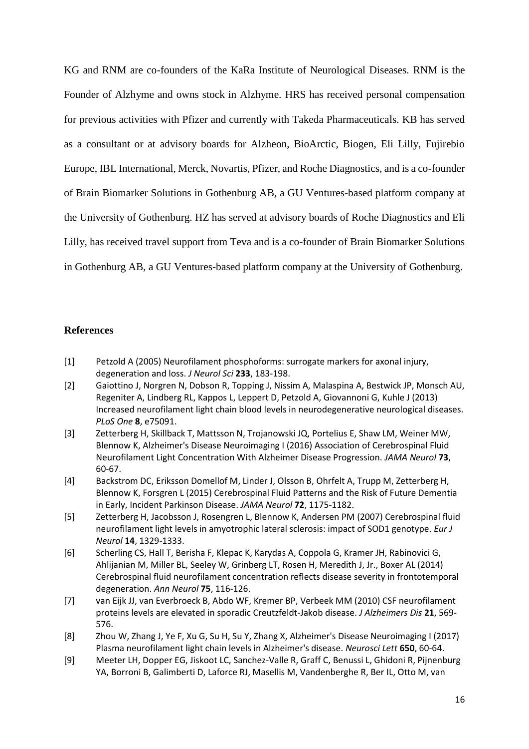KG and RNM are co-founders of the KaRa Institute of Neurological Diseases. RNM is the Founder of Alzhyme and owns stock in Alzhyme. HRS has received personal compensation for previous activities with Pfizer and currently with Takeda Pharmaceuticals. KB has served as a consultant or at advisory boards for Alzheon, BioArctic, Biogen, Eli Lilly, Fujirebio Europe, IBL International, Merck, Novartis, Pfizer, and Roche Diagnostics, and is a co-founder of Brain Biomarker Solutions in Gothenburg AB, a GU Ventures-based platform company at the University of Gothenburg. HZ has served at advisory boards of Roche Diagnostics and Eli Lilly, has received travel support from Teva and is a co-founder of Brain Biomarker Solutions in Gothenburg AB, a GU Ventures-based platform company at the University of Gothenburg.

## **References**

- [1] Petzold A (2005) Neurofilament phosphoforms: surrogate markers for axonal injury, degeneration and loss. *J Neurol Sci* **233**, 183-198.
- [2] Gaiottino J, Norgren N, Dobson R, Topping J, Nissim A, Malaspina A, Bestwick JP, Monsch AU, Regeniter A, Lindberg RL, Kappos L, Leppert D, Petzold A, Giovannoni G, Kuhle J (2013) Increased neurofilament light chain blood levels in neurodegenerative neurological diseases. *PLoS One* **8**, e75091.
- [3] Zetterberg H, Skillback T, Mattsson N, Trojanowski JQ, Portelius E, Shaw LM, Weiner MW, Blennow K, Alzheimer's Disease Neuroimaging I (2016) Association of Cerebrospinal Fluid Neurofilament Light Concentration With Alzheimer Disease Progression. *JAMA Neurol* **73**, 60-67.
- [4] Backstrom DC, Eriksson Domellof M, Linder J, Olsson B, Ohrfelt A, Trupp M, Zetterberg H, Blennow K, Forsgren L (2015) Cerebrospinal Fluid Patterns and the Risk of Future Dementia in Early, Incident Parkinson Disease. *JAMA Neurol* **72**, 1175-1182.
- [5] Zetterberg H, Jacobsson J, Rosengren L, Blennow K, Andersen PM (2007) Cerebrospinal fluid neurofilament light levels in amyotrophic lateral sclerosis: impact of SOD1 genotype. *Eur J Neurol* **14**, 1329-1333.
- [6] Scherling CS, Hall T, Berisha F, Klepac K, Karydas A, Coppola G, Kramer JH, Rabinovici G, Ahlijanian M, Miller BL, Seeley W, Grinberg LT, Rosen H, Meredith J, Jr., Boxer AL (2014) Cerebrospinal fluid neurofilament concentration reflects disease severity in frontotemporal degeneration. *Ann Neurol* **75**, 116-126.
- [7] van Eijk JJ, van Everbroeck B, Abdo WF, Kremer BP, Verbeek MM (2010) CSF neurofilament proteins levels are elevated in sporadic Creutzfeldt-Jakob disease. *J Alzheimers Dis* **21**, 569- 576.
- [8] Zhou W, Zhang J, Ye F, Xu G, Su H, Su Y, Zhang X, Alzheimer's Disease Neuroimaging I (2017) Plasma neurofilament light chain levels in Alzheimer's disease. *Neurosci Lett* **650**, 60-64.
- [9] Meeter LH, Dopper EG, Jiskoot LC, Sanchez-Valle R, Graff C, Benussi L, Ghidoni R, Pijnenburg YA, Borroni B, Galimberti D, Laforce RJ, Masellis M, Vandenberghe R, Ber IL, Otto M, van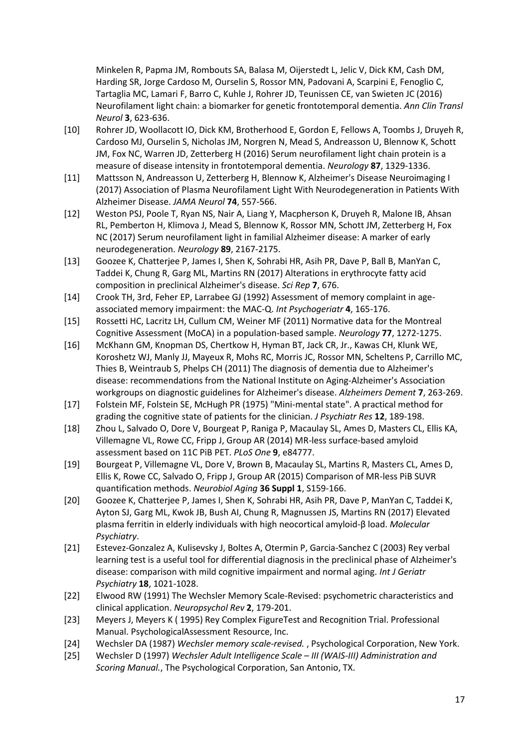Minkelen R, Papma JM, Rombouts SA, Balasa M, Oijerstedt L, Jelic V, Dick KM, Cash DM, Harding SR, Jorge Cardoso M, Ourselin S, Rossor MN, Padovani A, Scarpini E, Fenoglio C, Tartaglia MC, Lamari F, Barro C, Kuhle J, Rohrer JD, Teunissen CE, van Swieten JC (2016) Neurofilament light chain: a biomarker for genetic frontotemporal dementia. *Ann Clin Transl Neurol* **3**, 623-636.

- [10] Rohrer JD, Woollacott IO, Dick KM, Brotherhood E, Gordon E, Fellows A, Toombs J, Druyeh R, Cardoso MJ, Ourselin S, Nicholas JM, Norgren N, Mead S, Andreasson U, Blennow K, Schott JM, Fox NC, Warren JD, Zetterberg H (2016) Serum neurofilament light chain protein is a measure of disease intensity in frontotemporal dementia. *Neurology* **87**, 1329-1336.
- [11] Mattsson N, Andreasson U, Zetterberg H, Blennow K, Alzheimer's Disease Neuroimaging I (2017) Association of Plasma Neurofilament Light With Neurodegeneration in Patients With Alzheimer Disease. *JAMA Neurol* **74**, 557-566.
- [12] Weston PSJ, Poole T, Ryan NS, Nair A, Liang Y, Macpherson K, Druyeh R, Malone IB, Ahsan RL, Pemberton H, Klimova J, Mead S, Blennow K, Rossor MN, Schott JM, Zetterberg H, Fox NC (2017) Serum neurofilament light in familial Alzheimer disease: A marker of early neurodegeneration. *Neurology* **89**, 2167-2175.
- [13] Goozee K, Chatterjee P, James I, Shen K, Sohrabi HR, Asih PR, Dave P, Ball B, ManYan C, Taddei K, Chung R, Garg ML, Martins RN (2017) Alterations in erythrocyte fatty acid composition in preclinical Alzheimer's disease. *Sci Rep* **7**, 676.
- [14] Crook TH, 3rd, Feher EP, Larrabee GJ (1992) Assessment of memory complaint in ageassociated memory impairment: the MAC-Q. *Int Psychogeriatr* **4**, 165-176.
- [15] Rossetti HC, Lacritz LH, Cullum CM, Weiner MF (2011) Normative data for the Montreal Cognitive Assessment (MoCA) in a population-based sample. *Neurology* **77**, 1272-1275.
- [16] McKhann GM, Knopman DS, Chertkow H, Hyman BT, Jack CR, Jr., Kawas CH, Klunk WE, Koroshetz WJ, Manly JJ, Mayeux R, Mohs RC, Morris JC, Rossor MN, Scheltens P, Carrillo MC, Thies B, Weintraub S, Phelps CH (2011) The diagnosis of dementia due to Alzheimer's disease: recommendations from the National Institute on Aging-Alzheimer's Association workgroups on diagnostic guidelines for Alzheimer's disease. *Alzheimers Dement* **7**, 263-269.
- [17] Folstein MF, Folstein SE, McHugh PR (1975) "Mini-mental state". A practical method for grading the cognitive state of patients for the clinician. *J Psychiatr Res* **12**, 189-198.
- [18] Zhou L, Salvado O, Dore V, Bourgeat P, Raniga P, Macaulay SL, Ames D, Masters CL, Ellis KA, Villemagne VL, Rowe CC, Fripp J, Group AR (2014) MR-less surface-based amyloid assessment based on 11C PiB PET. *PLoS One* **9**, e84777.
- [19] Bourgeat P, Villemagne VL, Dore V, Brown B, Macaulay SL, Martins R, Masters CL, Ames D, Ellis K, Rowe CC, Salvado O, Fripp J, Group AR (2015) Comparison of MR-less PiB SUVR quantification methods. *Neurobiol Aging* **36 Suppl 1**, S159-166.
- [20] Goozee K, Chatterjee P, James I, Shen K, Sohrabi HR, Asih PR, Dave P, ManYan C, Taddei K, Ayton SJ, Garg ML, Kwok JB, Bush AI, Chung R, Magnussen JS, Martins RN (2017) Elevated plasma ferritin in elderly individuals with high neocortical amyloid-β load. *Molecular Psychiatry*.
- [21] Estevez-Gonzalez A, Kulisevsky J, Boltes A, Otermin P, Garcia-Sanchez C (2003) Rey verbal learning test is a useful tool for differential diagnosis in the preclinical phase of Alzheimer's disease: comparison with mild cognitive impairment and normal aging. *Int J Geriatr Psychiatry* **18**, 1021-1028.
- [22] Elwood RW (1991) The Wechsler Memory Scale-Revised: psychometric characteristics and clinical application. *Neuropsychol Rev* **2**, 179-201.
- [23] Meyers J, Meyers K ( 1995) Rey Complex FigureTest and Recognition Trial. Professional Manual. PsychologicalAssessment Resource, Inc.
- [24] Wechsler DA (1987) *Wechsler memory scale-revised.* , Psychological Corporation, New York.
- [25] Wechsler D (1997) *Wechsler Adult Intelligence Scale – III (WAIS-III) Administration and Scoring Manual.*, The Psychological Corporation, San Antonio, TX.